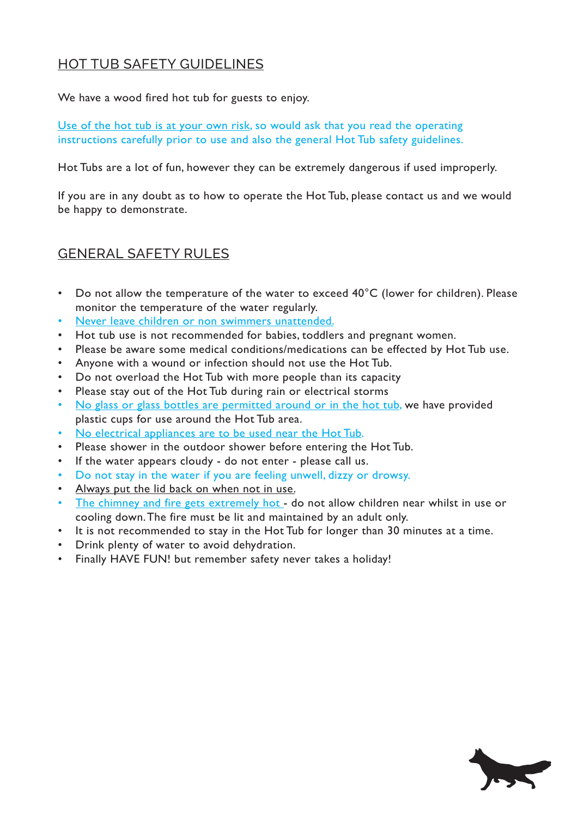## HOT TUB SAFETY GUIDELINES

We have a wood fired hot tub for guests to enjoy.

Use of the hot tub is at your own risk, so would ask that you read the operating instructions carefully prior to use and also the general Hot Tub safety guidelines.

Hot Tubs are a lot of fun, however they can be extremely dangerous if used improperly.

If you are in any doubt as to how to operate the Hot Tub, please contact us and we would be happy to demonstrate.

## GENERAL SAFETY RULES

- Do not allow the temperature of the water to exceed 40°C (lower for children). Please monitor the temperature of the water regularly.
- Never leave children or non swimmers unattended.
- • Hot tub use is not recommended for babies, toddlers and pregnant women.
- Please be aware some medical conditions/medications can be effected by Hot Tub use.
- • Anyone with a wound or infection should not use the Hot Tub.
- Do not overload the Hot Tub with more people than its capacity
- Please stay out of the Hot Tub during rain or electrical storms
- No glass or glass bottles are permitted around or in the hot tub, we have provided plastic cups for use around the Hot Tub area.
- No electrical appliances are to be used near the Hot Tub.
- Please shower in the outdoor shower before entering the Hot Tub.
- If the water appears cloudy do not enter please call us.
- Do not stay in the water if you are feeling unwell, dizzy or drowsy.
- Always put the lid back on when not in use.
- The chimney and fire gets extremely hot do not allow children near whilst in use or cooling down. The fire must be lit and maintained by an adult only.
- It is not recommended to stay in the Hot Tub for longer than 30 minutes at a time.
- Drink plenty of water to avoid dehydration.
- Finally HAVE FUN! but remember safety never takes a holiday!

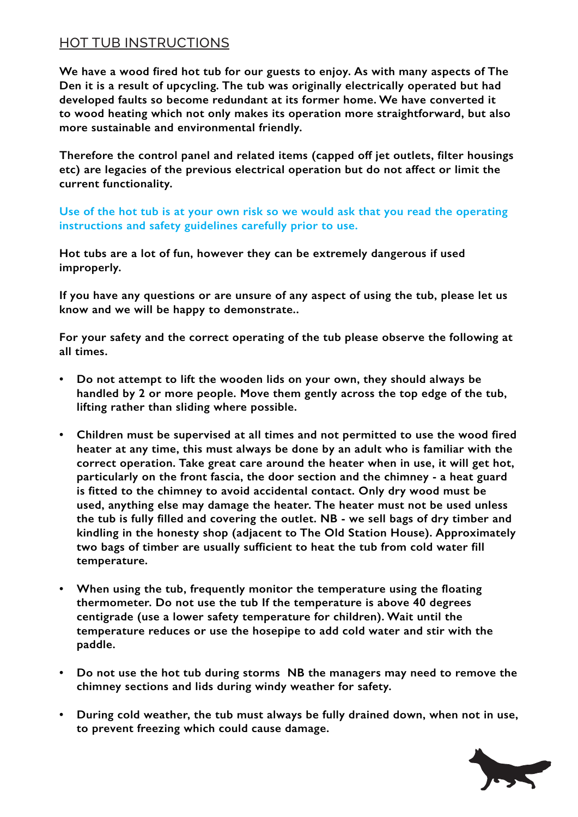## HOT TUB INSTRUCTIONS

**We have a wood fired hot tub for our guests to enjoy. As with many aspects of The Den it is a result of upcycling. The tub was originally electrically operated but had developed faults so become redundant at its former home. We have converted it to wood heating which not only makes its operation more straightforward, but also more sustainable and environmental friendly.**

**Therefore the control panel and related items (capped off jet outlets, filter housings etc) are legacies of the previous electrical operation but do not affect or limit the current functionality.** 

**Use of the hot tub is at your own risk so we would ask that you read the operating instructions and safety guidelines carefully prior to use.** 

**Hot tubs are a lot of fun, however they can be extremely dangerous if used improperly.** 

**If you have any questions or are unsure of any aspect of using the tub, please let us know and we will be happy to demonstrate..** 

**For your safety and the correct operating of the tub please observe the following at all times.**

- **• Do not attempt to lift the wooden lids on your own, they should always be handled by 2 or more people. Move them gently across the top edge of the tub, lifting rather than sliding where possible.**
- **• Children must be supervised at all times and not permitted to use the wood fired heater at any time, this must always be done by an adult who is familiar with the correct operation. Take great care around the heater when in use, it will get hot, particularly on the front fascia, the door section and the chimney - a heat guard is fitted to the chimney to avoid accidental contact. Only dry wood must be used, anything else may damage the heater. The heater must not be used unless the tub is fully filled and covering the outlet. NB - we sell bags of dry timber and kindling in the honesty shop (adjacent to The Old Station House). Approximately two bags of timber are usually sufficient to heat the tub from cold water fill temperature.**
- **• When using the tub, frequently monitor the temperature using the floating thermometer. Do not use the tub If the temperature is above 40 degrees centigrade (use a lower safety temperature for children). Wait until the temperature reduces or use the hosepipe to add cold water and stir with the paddle.**
- Do not use the hot tub during storms NB the managers may need to remove the **chimney sections and lids during windy weather for safety.**
- During cold weather, the tub must always be fully drained down, when not in use, **to prevent freezing which could cause damage.**

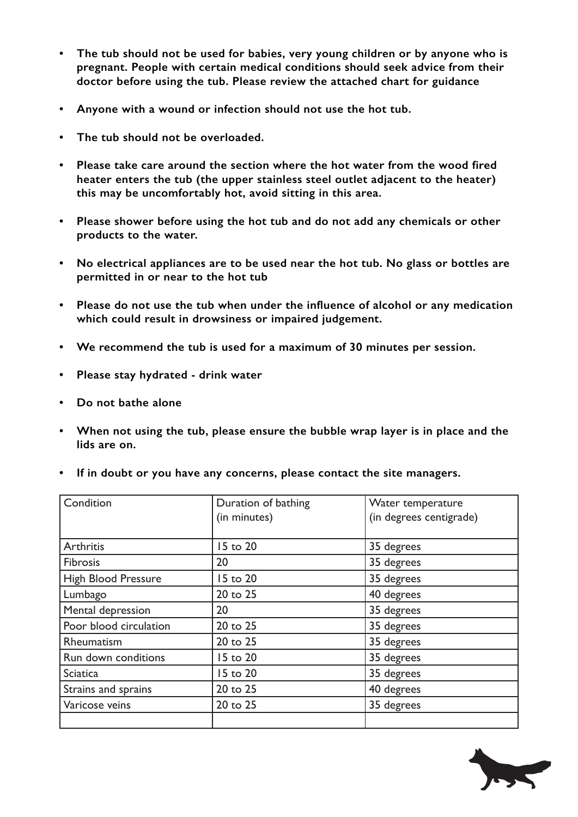- **• The tub should not be used for babies, very young children or by anyone who is pregnant. People with certain medical conditions should seek advice from their doctor before using the tub. Please review the attached chart for guidance**
- **• Anyone with a wound or infection should not use the hot tub.**
- **The tub should not be overloaded.**
- **• Please take care around the section where the hot water from the wood fired heater enters the tub (the upper stainless steel outlet adjacent to the heater) this may be uncomfortably hot, avoid sitting in this area.**
- **• Please shower before using the hot tub and do not add any chemicals or other products to the water.**
- **• No electrical appliances are to be used near the hot tub. No glass or bottles are permitted in or near to the hot tub**
- Please do not use the tub when under the influence of alcohol or any medication **which could result in drowsiness or impaired judgement.**
- **• We recommend the tub is used for a maximum of 30 minutes per session.**
- **• Please stay hydrated drink water**
- **• Do not bathe alone**
- **• When not using the tub, please ensure the bubble wrap layer is in place and the lids are on.**

|  |  |  |  |  | If in doubt or you have any concerns, please contact the site managers. |
|--|--|--|--|--|-------------------------------------------------------------------------|
|--|--|--|--|--|-------------------------------------------------------------------------|

| Condition                  | Duration of bathing<br>(in minutes) | Water temperature<br>(in degrees centigrade) |
|----------------------------|-------------------------------------|----------------------------------------------|
|                            |                                     |                                              |
| Arthritis                  | 15 to 20                            | 35 degrees                                   |
| <b>Fibrosis</b>            | 20                                  | 35 degrees                                   |
| <b>High Blood Pressure</b> | 15 to 20                            | 35 degrees                                   |
| Lumbago                    | 20 to 25                            | 40 degrees                                   |
| Mental depression          | 20                                  | 35 degrees                                   |
| Poor blood circulation     | 20 to 25                            | 35 degrees                                   |
| Rheumatism                 | 20 to 25                            | 35 degrees                                   |
| Run down conditions        | 15 to 20                            | 35 degrees                                   |
| <b>Sciatica</b>            | 15 to 20                            | 35 degrees                                   |
| Strains and sprains        | 20 to 25                            | 40 degrees                                   |
| Varicose veins             | 20 to 25                            | 35 degrees                                   |
|                            |                                     |                                              |

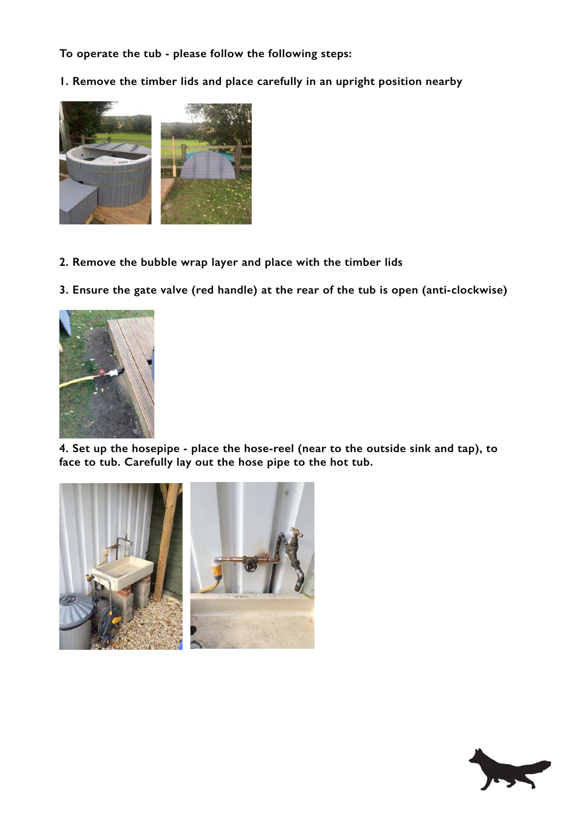**To operate the tub - please follow the following steps:**

**1. Remove the timber lids and place carefully in an upright position nearby**



- **2. Remove the bubble wrap layer and place with the timber lids**
- **3. Ensure the gate valve (red handle) at the rear of the tub is open (anti-clockwise)**



**4. Set up the hosepipe - place the hose-reel (near to the outside sink and tap), to face to tub. Carefully lay out the hose pipe to the hot tub.** 



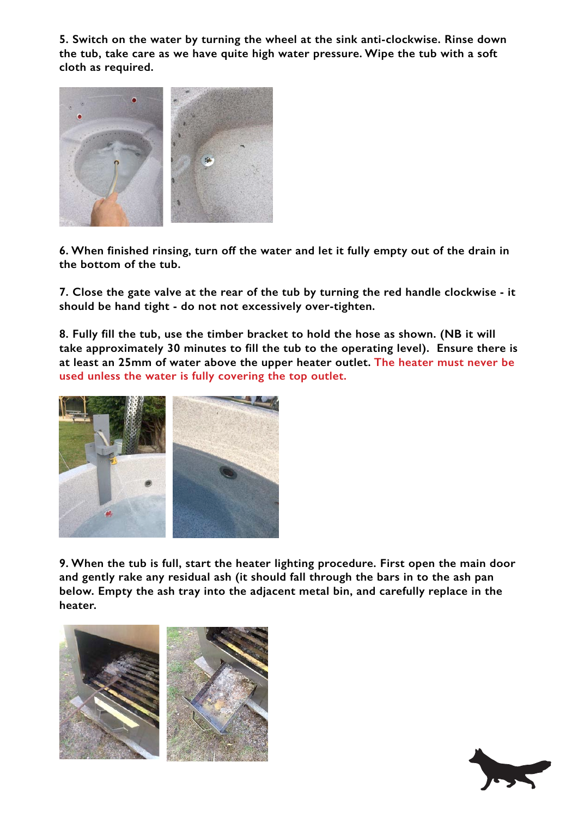**5. Switch on the water by turning the wheel at the sink anti-clockwise. Rinse down the tub, take care as we have quite high water pressure. Wipe the tub with a soft cloth as required.** 



**6. When finished rinsing, turn off the water and let it fully empty out of the drain in the bottom of the tub.** 

**7. Close the gate valve at the rear of the tub by turning the red handle clockwise - it should be hand tight - do not not excessively over-tighten.**

**8. Fully fill the tub, use the timber bracket to hold the hose as shown. (NB it will take approximately 30 minutes to fill the tub to the operating level). Ensure there is at least an 25mm of water above the upper heater outlet. The heater must never be used unless the water is fully covering the top outlet.**



**9. When the tub is full, start the heater lighting procedure. First open the main door and gently rake any residual ash (it should fall through the bars in to the ash pan below. Empty the ash tray into the adjacent metal bin, and carefully replace in the heater.** 



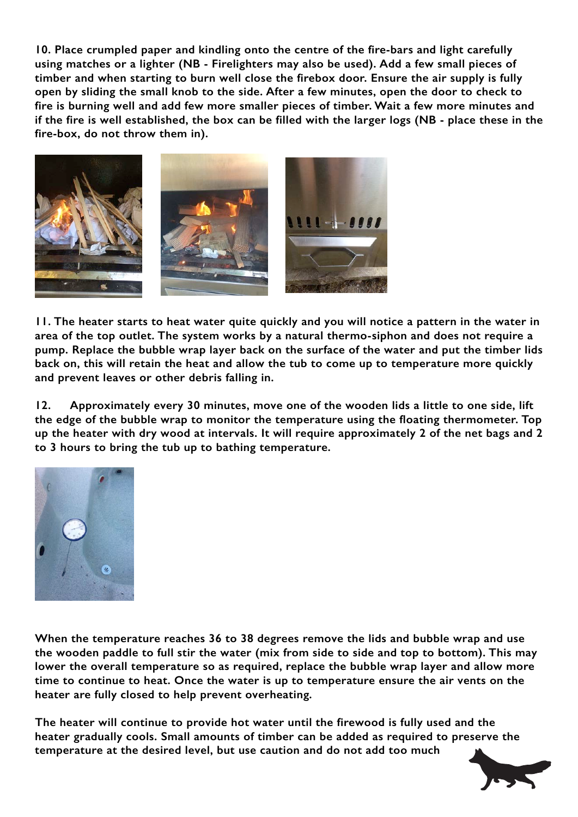**10. Place crumpled paper and kindling onto the centre of the fire-bars and light carefully using matches or a lighter (NB - Firelighters may also be used). Add a few small pieces of timber and when starting to burn well close the firebox door. Ensure the air supply is fully open by sliding the small knob to the side. After a few minutes, open the door to check to fire is burning well and add few more smaller pieces of timber. Wait a few more minutes and if the fire is well established, the box can be filled with the larger logs (NB - place these in the fire-box, do not throw them in).** 



**11. The heater starts to heat water quite quickly and you will notice a pattern in the water in area of the top outlet. The system works by a natural thermo-siphon and does not require a pump. Replace the bubble wrap layer back on the surface of the water and put the timber lids back on, this will retain the heat and allow the tub to come up to temperature more quickly and prevent leaves or other debris falling in.**

**12. Approximately every 30 minutes, move one of the wooden lids a little to one side, lift the edge of the bubble wrap to monitor the temperature using the floating thermometer. Top up the heater with dry wood at intervals. It will require approximately 2 of the net bags and 2 to 3 hours to bring the tub up to bathing temperature.** 



**When the temperature reaches 36 to 38 degrees remove the lids and bubble wrap and use the wooden paddle to full stir the water (mix from side to side and top to bottom). This may lower the overall temperature so as required, replace the bubble wrap layer and allow more time to continue to heat. Once the water is up to temperature ensure the air vents on the heater are fully closed to help prevent overheating.** 

**The heater will continue to provide hot water until the firewood is fully used and the heater gradually cools. Small amounts of timber can be added as required to preserve the temperature at the desired level, but use caution and do not add too much**